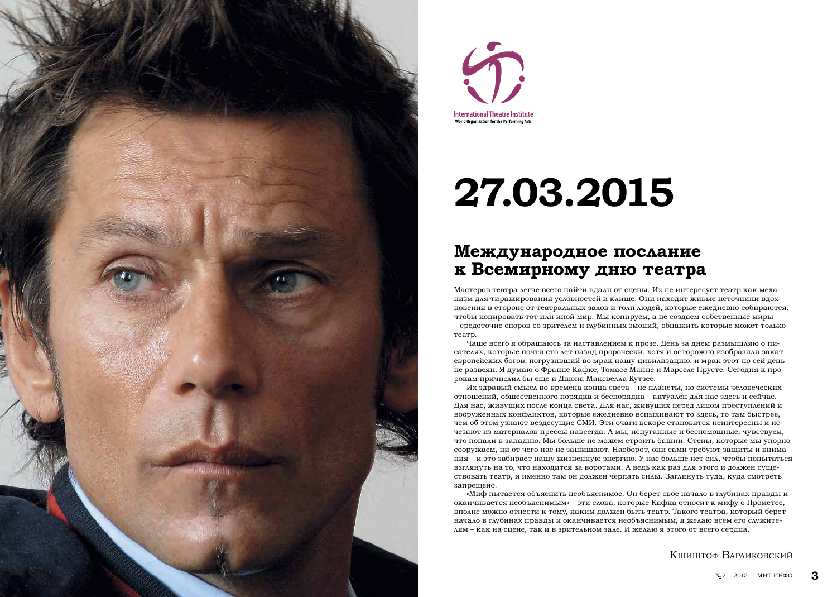**3**

### **Международное послание к Всемирному дню театра**

Мастеров театра легче всего найти вдали от сцены. Их не интересует театр как меха низм для тиражирования условностей и клише. Они находят живые источники вдох новения в стороне от театральных залов и толп людей, которые ежедневно собираются, чтобы копировать тот или иной мир. Мы копируем, а не создаем собственные миры – средоточие споров со зрителем и глубинных эмоций, обнажить которые может только театр.

Чаще всего я обращаюсь за наставлением к прозе. День за днем размышляю о пи сателях, которые почти сто лет назад пророчески, хотя и осторожно изобразили закат европейских богов, погрузивший во мрак нашу цивилизацию, и мрак этот по сей день не развеян. Я думаю о Франце Кафке, Томасе Манне и Марселе Прусте. Сегодня к про рокам причислил бы еще и Джона Максвелла Кутзее.

Их здравый смысл во времена конца света – не планеты, но системы человеческих отношений, общественного порядка и беспорядка – актуален для нас здесь и сейчас. Для нас, живущих после конца света. Для нас, живущих перед лицом преступлений и вооруженных конфликтов, которые ежедневно вспыхивают то здесь, то там быстрее, чем об этом узнают вездесущие СМИ. Эти очаги вскоре становятся неинтересны и ис чезают из материалов прессы навсегда. А мы, испуганные и беспомощные, чувствуем, что попали в западню. Мы больше не можем строить башни. Стены, которые мы упорно сооружаем, ни от чего нас не защищают. Наоборот, они сами требуют защиты и внима ния – и это забирает нашу жизненную энергию. У нас больше нет сил, чтобы попытаться взглянуть на то, что находится за воротами. А ведь как раз для этого и должен суще ствовать театр, и именно там он должен черпать силы. Заглянуть туда, куда смотреть запрещено.

«Миф пытается объяснить необъяснимое. Он берет свое начало в глубинах правды и оканчивается необъяснимым» – эти слова, которые Кафка относит к мифу о Прометее, вполне можно отнести к тому, каким должен быть театр. Такого театра, который берет начало в глубинах правды и оканчивается необъяснимым, я желаю всем его служите лям – как на сцене, так и в зрительном зале. И желаю я этого от всего сердца.

#### Кшиштоф Варлик о в с кий





# **27.03.2015**